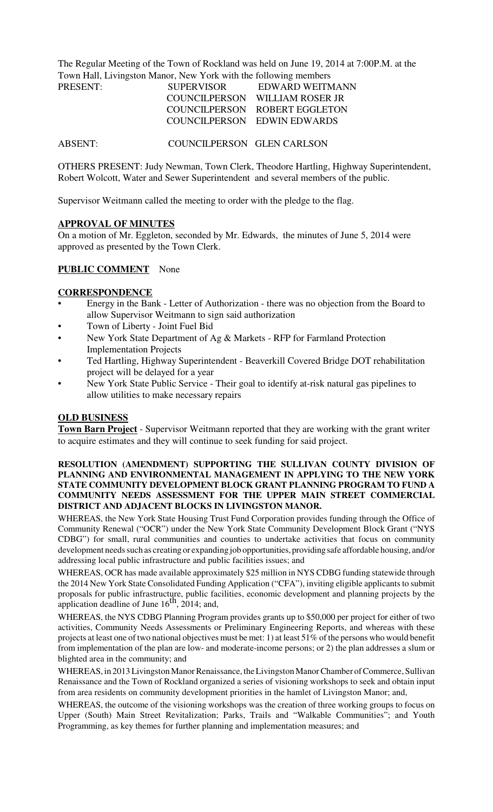The Regular Meeting of the Town of Rockland was held on June 19, 2014 at 7:00P.M. at the Town Hall, Livingston Manor, New York with the following members

| PRESENT: | <b>SUPERVISOR</b> | EDWARD WEITMANN                |
|----------|-------------------|--------------------------------|
|          |                   | COUNCILPERSON WILLIAM ROSER JR |
|          |                   | COUNCILPERSON ROBERT EGGLETON  |
|          |                   | COUNCILPERSON EDWIN EDWARDS    |

ABSENT: COUNCILPERSON GLEN CARLSON

OTHERS PRESENT: Judy Newman, Town Clerk, Theodore Hartling, Highway Superintendent, Robert Wolcott, Water and Sewer Superintendent and several members of the public.

Supervisor Weitmann called the meeting to order with the pledge to the flag.

#### **APPROVAL OF MINUTES**

On a motion of Mr. Eggleton, seconded by Mr. Edwards, the minutes of June 5, 2014 were approved as presented by the Town Clerk.

## **PUBLIC COMMENT** None

### **CORRESPONDENCE**

- Energy in the Bank Letter of Authorization there was no objection from the Board to allow Supervisor Weitmann to sign said authorization
- Town of Liberty Joint Fuel Bid
- New York State Department of Ag & Markets RFP for Farmland Protection Implementation Projects
- Ted Hartling, Highway Superintendent Beaverkill Covered Bridge DOT rehabilitation project will be delayed for a year
- New York State Public Service Their goal to identify at-risk natural gas pipelines to allow utilities to make necessary repairs

#### **OLD BUSINESS**

**Town Barn Project** - Supervisor Weitmann reported that they are working with the grant writer to acquire estimates and they will continue to seek funding for said project.

#### **RESOLUTION (AMENDMENT) SUPPORTING THE SULLIVAN COUNTY DIVISION OF PLANNING AND ENVIRONMENTAL MANAGEMENT IN APPLYING TO THE NEW YORK STATE COMMUNITY DEVELOPMENT BLOCK GRANT PLANNING PROGRAM TO FUND A COMMUNITY NEEDS ASSESSMENT FOR THE UPPER MAIN STREET COMMERCIAL DISTRICT AND ADJACENT BLOCKS IN LIVINGSTON MANOR.**

WHEREAS, the New York State Housing Trust Fund Corporation provides funding through the Office of Community Renewal ("OCR") under the New York State Community Development Block Grant ("NYS CDBG") for small, rural communities and counties to undertake activities that focus on community development needs such as creating or expanding job opportunities, providing safe affordable housing, and/or addressing local public infrastructure and public facilities issues; and

WHEREAS, OCR has made available approximately \$25 million in NYS CDBG funding statewide through the 2014 New York State Consolidated Funding Application ("CFA"), inviting eligible applicants to submit proposals for public infrastructure, public facilities, economic development and planning projects by the application deadline of June  $16<sup>th</sup>$ , 2014; and,

WHEREAS, the NYS CDBG Planning Program provides grants up to \$50,000 per project for either of two activities, Community Needs Assessments or Preliminary Engineering Reports, and whereas with these projects at least one of two national objectives must be met: 1) at least 51% of the persons who would benefit from implementation of the plan are low- and moderate-income persons; or 2) the plan addresses a slum or blighted area in the community; and

WHEREAS, in 2013 Livingston Manor Renaissance, the Livingston Manor Chamber of Commerce, Sullivan Renaissance and the Town of Rockland organized a series of visioning workshops to seek and obtain input from area residents on community development priorities in the hamlet of Livingston Manor; and,

WHEREAS, the outcome of the visioning workshops was the creation of three working groups to focus on Upper (South) Main Street Revitalization; Parks, Trails and "Walkable Communities"; and Youth Programming, as key themes for further planning and implementation measures; and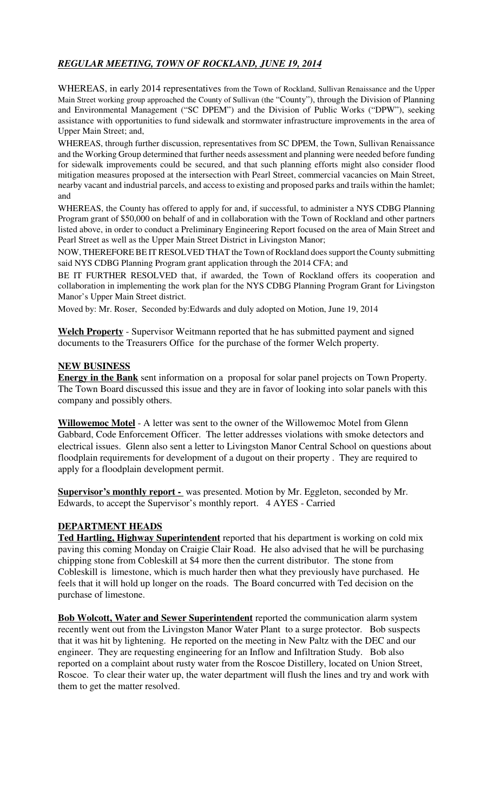# *REGULAR MEETING, TOWN OF ROCKLAND, JUNE 19, 2014*

WHEREAS, in early 2014 representatives from the Town of Rockland, Sullivan Renaissance and the Upper Main Street working group approached the County of Sullivan (the "County"), through the Division of Planning and Environmental Management ("SC DPEM") and the Division of Public Works ("DPW"), seeking assistance with opportunities to fund sidewalk and stormwater infrastructure improvements in the area of Upper Main Street; and,

WHEREAS, through further discussion, representatives from SC DPEM, the Town, Sullivan Renaissance and the Working Group determined that further needs assessment and planning were needed before funding for sidewalk improvements could be secured, and that such planning efforts might also consider flood mitigation measures proposed at the intersection with Pearl Street, commercial vacancies on Main Street, nearby vacant and industrial parcels, and access to existing and proposed parks and trails within the hamlet; and

WHEREAS, the County has offered to apply for and, if successful, to administer a NYS CDBG Planning Program grant of \$50,000 on behalf of and in collaboration with the Town of Rockland and other partners listed above, in order to conduct a Preliminary Engineering Report focused on the area of Main Street and Pearl Street as well as the Upper Main Street District in Livingston Manor;

NOW, THEREFORE BE IT RESOLVED THAT the Town of Rockland does support the County submitting said NYS CDBG Planning Program grant application through the 2014 CFA; and

BE IT FURTHER RESOLVED that, if awarded, the Town of Rockland offers its cooperation and collaboration in implementing the work plan for the NYS CDBG Planning Program Grant for Livingston Manor's Upper Main Street district.

Moved by: Mr. Roser, Seconded by:Edwards and duly adopted on Motion, June 19, 2014

**Welch Property** - Supervisor Weitmann reported that he has submitted payment and signed documents to the Treasurers Office for the purchase of the former Welch property.

## **NEW BUSINESS**

**Energy in the Bank** sent information on a proposal for solar panel projects on Town Property. The Town Board discussed this issue and they are in favor of looking into solar panels with this company and possibly others.

**Willowemoc Motel** - A letter was sent to the owner of the Willowemoc Motel from Glenn Gabbard, Code Enforcement Officer. The letter addresses violations with smoke detectors and electrical issues. Glenn also sent a letter to Livingston Manor Central School on questions about floodplain requirements for development of a dugout on their property . They are required to apply for a floodplain development permit.

**Supervisor's monthly report -** was presented. Motion by Mr. Eggleton, seconded by Mr. Edwards, to accept the Supervisor's monthly report. 4 AYES - Carried

## **DEPARTMENT HEADS**

**Ted Hartling, Highway Superintendent** reported that his department is working on cold mix paving this coming Monday on Craigie Clair Road. He also advised that he will be purchasing chipping stone from Cobleskill at \$4 more then the current distributor. The stone from Cobleskill is limestone, which is much harder then what they previously have purchased. He feels that it will hold up longer on the roads. The Board concurred with Ted decision on the purchase of limestone.

**Bob Wolcott, Water and Sewer Superintendent** reported the communication alarm system recently went out from the Livingston Manor Water Plant to a surge protector. Bob suspects that it was hit by lightening. He reported on the meeting in New Paltz with the DEC and our engineer. They are requesting engineering for an Inflow and Infiltration Study. Bob also reported on a complaint about rusty water from the Roscoe Distillery, located on Union Street, Roscoe. To clear their water up, the water department will flush the lines and try and work with them to get the matter resolved.